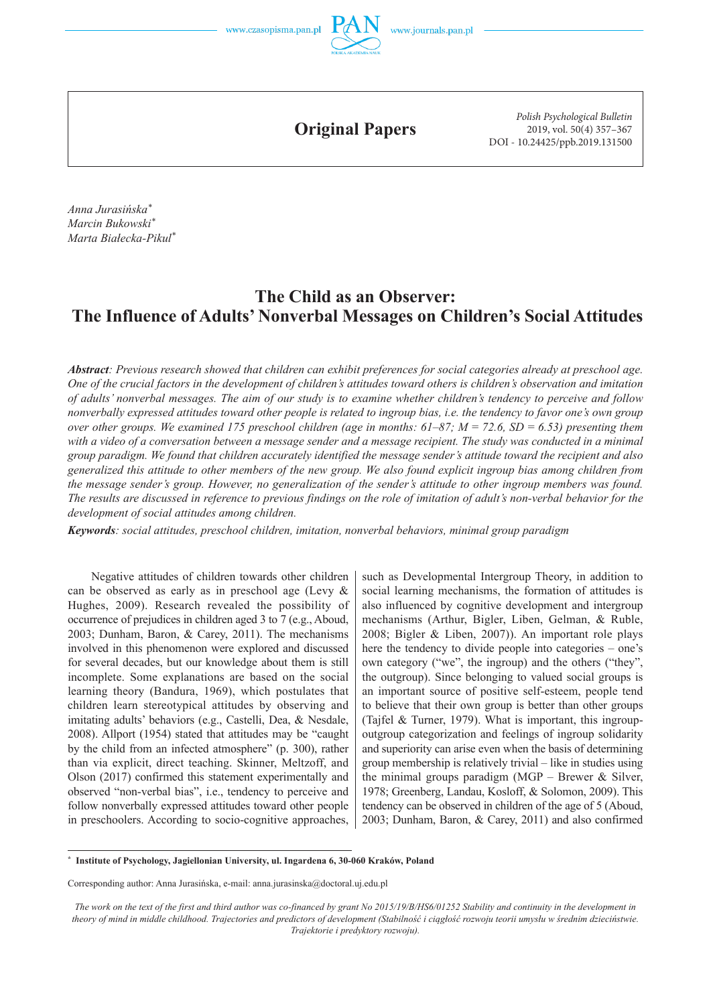

**Original Papers**

*Polish Psychological Bulletin* 2019, vol. 50(4) 357–367 DOI - 10.24425/ppb.2019.131500

*Anna Jurasińska\* Marcin Bukowski\* Marta Białecka-Pikul\**

# **The Child as an Observer: The Influence of Adults' Nonverbal Messages on Children's Social Attitudes**

*Abstract: Previous research showed that children can exhibit preferences for social categories already at preschool age. One of the crucial factors in the development of children's attitudes toward others is children's observation and imitation of adults' nonverbal messages. The aim of our study is to examine whether children's tendency to perceive and follow nonverbally expressed attitudes toward other people is related to ingroup bias, i.e. the tendency to favor one's own group over other groups. We examined 175 preschool children (age in months: 61–87; M = 72.6, SD = 6.53) presenting them with a video of a conversation between a message sender and a message recipient. The study was conducted in a minimal group paradigm. We found that children accurately identified the message sender's attitude toward the recipient and also generalized this attitude to other members of the new group. We also found explicit ingroup bias among children from the message sender's group. However, no generalization of the sender's attitude to other ingroup members was found. The results are discussed in reference to previous findings on the role of imitation of adult's non-verbal behavior for the development of social attitudes among children.* 

*Keywords: social attitudes, preschool children, imitation, nonverbal behaviors, minimal group paradigm*

Negative attitudes of children towards other children can be observed as early as in preschool age (Levy & Hughes, 2009). Research revealed the possibility of occurrence of prejudices in children aged 3 to 7 (e.g., Aboud, 2003; Dunham, Baron, & Carey, 2011). The mechanisms involved in this phenomenon were explored and discussed for several decades, but our knowledge about them is still incomplete. Some explanations are based on the social learning theory (Bandura, 1969), which postulates that children learn stereotypical attitudes by observing and imitating adults' behaviors (e.g., Castelli, Dea, & Nesdale, 2008). Allport (1954) stated that attitudes may be "caught by the child from an infected atmosphere" (p. 300), rather than via explicit, direct teaching. Skinner, Meltzoff, and Olson (2017) confirmed this statement experimentally and observed "non-verbal bias", i.e., tendency to perceive and follow nonverbally expressed attitudes toward other people in preschoolers. According to socio-cognitive approaches,

such as Developmental Intergroup Theory, in addition to social learning mechanisms, the formation of attitudes is also influenced by cognitive development and intergroup mechanisms (Arthur, Bigler, Liben, Gelman, & Ruble, 2008; Bigler & Liben, 2007)). An important role plays here the tendency to divide people into categories – one's own category ("we", the ingroup) and the others ("they", the outgroup). Since belonging to valued social groups is an important source of positive self-esteem, people tend to believe that their own group is better than other groups (Tajfel & Turner, 1979). What is important, this ingroupoutgroup categorization and feelings of ingroup solidarity and superiority can arise even when the basis of determining group membership is relatively trivial – like in studies using the minimal groups paradigm (MGP – Brewer & Silver, 1978; Greenberg, Landau, Kosloff, & Solomon, 2009). This tendency can be observed in children of the age of 5 (Aboud, 2003; Dunham, Baron, & Carey, 2011) and also confirmed

**\* Institute of Psychology, Jagiellonian University, ul. Ingardena 6, 30-060 Kraków, Poland**

The work on the text of the first and third author was co-financed by grant No 2015/19/B/HS6/01252 Stability and continuity in the development in theory of mind in middle childhood. Trajectories and predictors of development (Stabilność i ciągłość rozwoju teorii umysłu w średnim dzieciństwie. *Trajektorie i predyktory rozwoju).*

Corresponding author: Anna Jurasińska, e-mail: anna.jurasinska@doctoral.uj.edu.pl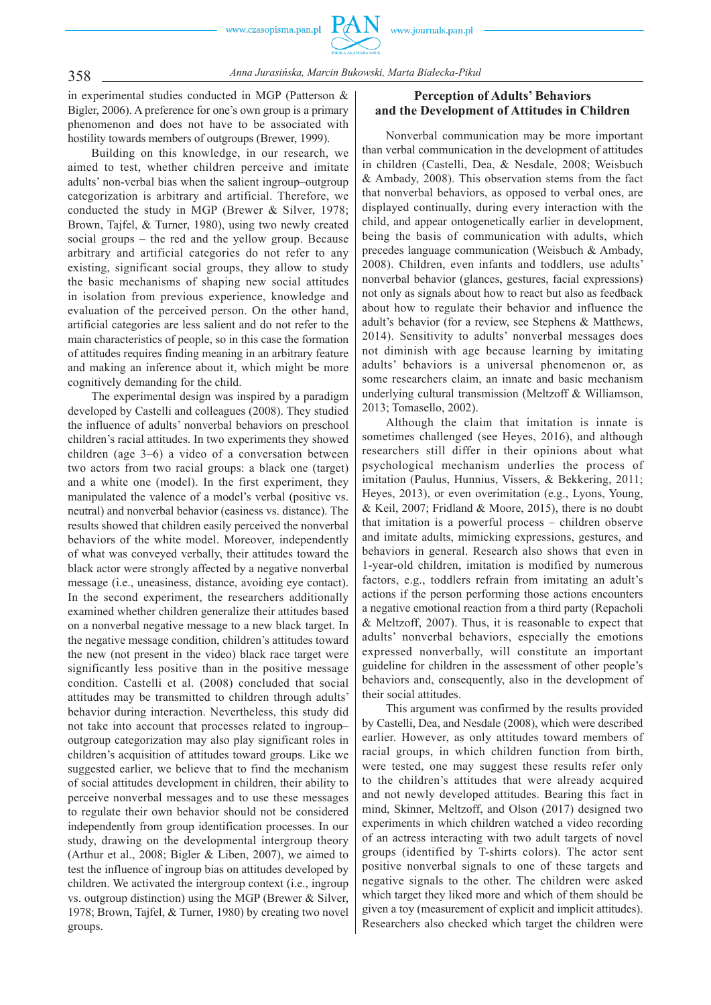

358 *Anna Jurasińska, Marcin Bukowski, Marta Białecka-Pikul*

in experimental studies conducted in MGP (Patterson & Bigler, 2006). A preference for one's own group is a primary phenomenon and does not have to be associated with hostility towards members of outgroups (Brewer, 1999).

Building on this knowledge, in our research, we aimed to test, whether children perceive and imitate adults' non-verbal bias when the salient ingroup–outgroup categorization is arbitrary and artificial. Therefore, we conducted the study in MGP (Brewer & Silver, 1978; Brown, Tajfel, & Turner, 1980), using two newly created social groups – the red and the yellow group. Because arbitrary and artificial categories do not refer to any existing, significant social groups, they allow to study the basic mechanisms of shaping new social attitudes in isolation from previous experience, knowledge and evaluation of the perceived person. On the other hand, artificial categories are less salient and do not refer to the main characteristics of people, so in this case the formation of attitudes requires finding meaning in an arbitrary feature and making an inference about it, which might be more cognitively demanding for the child.

The experimental design was inspired by a paradigm developed by Castelli and colleagues (2008). They studied the influence of adults' nonverbal behaviors on preschool children's racial attitudes. In two experiments they showed children (age 3–6) a video of a conversation between two actors from two racial groups: a black one (target) and a white one (model). In the first experiment, they manipulated the valence of a model's verbal (positive vs. neutral) and nonverbal behavior (easiness vs. distance). The results showed that children easily perceived the nonverbal behaviors of the white model. Moreover, independently of what was conveyed verbally, their attitudes toward the black actor were strongly affected by a negative nonverbal message (i.e., uneasiness, distance, avoiding eye contact). In the second experiment, the researchers additionally examined whether children generalize their attitudes based on a nonverbal negative message to a new black target. In the negative message condition, children's attitudes toward the new (not present in the video) black race target were significantly less positive than in the positive message condition. Castelli et al. (2008) concluded that social attitudes may be transmitted to children through adults' behavior during interaction. Nevertheless, this study did not take into account that processes related to ingroup– outgroup categorization may also play significant roles in children's acquisition of attitudes toward groups. Like we suggested earlier, we believe that to find the mechanism of social attitudes development in children, their ability to perceive nonverbal messages and to use these messages to regulate their own behavior should not be considered independently from group identification processes. In our study, drawing on the developmental intergroup theory (Arthur et al., 2008; Bigler & Liben, 2007), we aimed to test the influence of ingroup bias on attitudes developed by children. We activated the intergroup context (i.e., ingroup vs. outgroup distinction) using the MGP (Brewer & Silver, 1978; Brown, Tajfel, & Turner, 1980) by creating two novel groups.

## **Perception of Adults' Behaviors and the Development of Attitudes in Children**

Nonverbal communication may be more important than verbal communication in the development of attitudes in children (Castelli, Dea, & Nesdale, 2008; Weisbuch & Ambady, 2008). This observation stems from the fact that nonverbal behaviors, as opposed to verbal ones, are displayed continually, during every interaction with the child, and appear ontogenetically earlier in development, being the basis of communication with adults, which precedes language communication (Weisbuch & Ambady, 2008). Children, even infants and toddlers, use adults' nonverbal behavior (glances, gestures, facial expressions) not only as signals about how to react but also as feedback about how to regulate their behavior and influence the adult's behavior (for a review, see Stephens & Matthews, 2014). Sensitivity to adults' nonverbal messages does not diminish with age because learning by imitating adults' behaviors is a universal phenomenon or, as some researchers claim, an innate and basic mechanism underlying cultural transmission (Meltzoff & Williamson, 2013; Tomasello, 2002).

Although the claim that imitation is innate is sometimes challenged (see Heyes, 2016), and although researchers still differ in their opinions about what psychological mechanism underlies the process of imitation (Paulus, Hunnius, Vissers, & Bekkering, 2011; Heyes, 2013), or even overimitation (e.g., Lyons, Young, & Keil, 2007; Fridland & Moore, 2015), there is no doubt that imitation is a powerful process – children observe and imitate adults, mimicking expressions, gestures, and behaviors in general. Research also shows that even in 1-year-old children, imitation is modified by numerous factors, e.g., toddlers refrain from imitating an adult's actions if the person performing those actions encounters a negative emotional reaction from a third party (Repacholi & Meltzoff, 2007). Thus, it is reasonable to expect that adults' nonverbal behaviors, especially the emotions expressed nonverbally, will constitute an important guideline for children in the assessment of other people's behaviors and, consequently, also in the development of their social attitudes.

This argument was confirmed by the results provided by Castelli, Dea, and Nesdale (2008), which were described earlier. However, as only attitudes toward members of racial groups, in which children function from birth, were tested, one may suggest these results refer only to the children's attitudes that were already acquired and not newly developed attitudes. Bearing this fact in mind, Skinner, Meltzoff, and Olson (2017) designed two experiments in which children watched a video recording of an actress interacting with two adult targets of novel groups (identified by T-shirts colors). The actor sent positive nonverbal signals to one of these targets and negative signals to the other. The children were asked which target they liked more and which of them should be given a toy (measurement of explicit and implicit attitudes). Researchers also checked which target the children were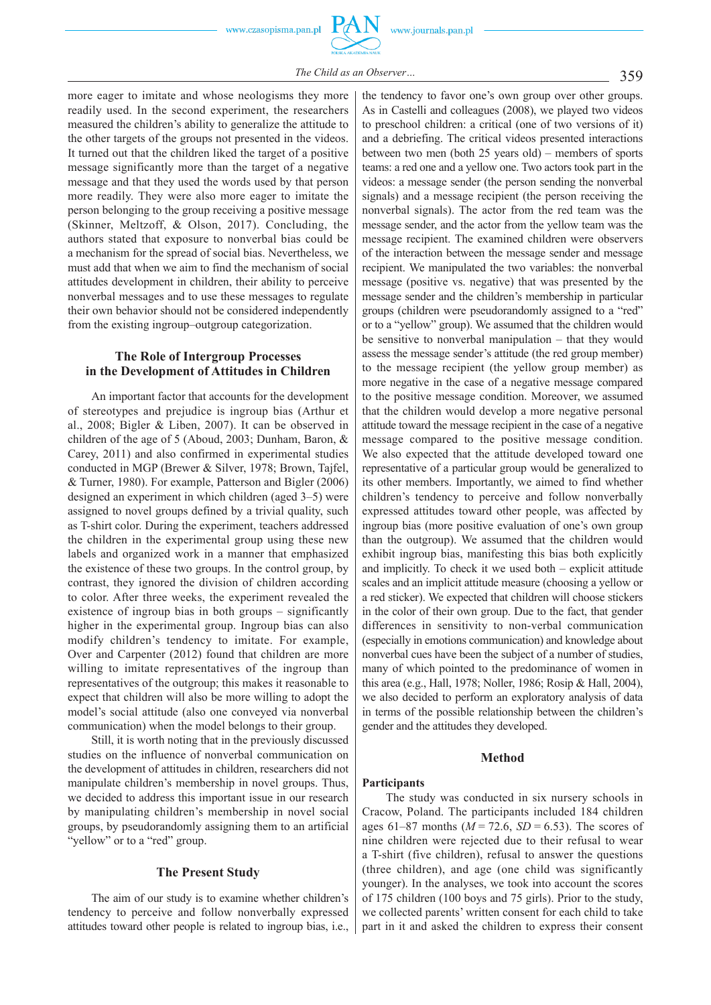www.journals.pan.pl



more eager to imitate and whose neologisms they more readily used. In the second experiment, the researchers measured the children's ability to generalize the attitude to the other targets of the groups not presented in the videos. It turned out that the children liked the target of a positive message significantly more than the target of a negative message and that they used the words used by that person more readily. They were also more eager to imitate the person belonging to the group receiving a positive message (Skinner, Meltzoff, & Olson, 2017). Concluding, the authors stated that exposure to nonverbal bias could be a mechanism for the spread of social bias. Nevertheless, we must add that when we aim to find the mechanism of social attitudes development in children, their ability to perceive nonverbal messages and to use these messages to regulate their own behavior should not be considered independently

## **The Role of Intergroup Processes in the Development of Attitudes in Children**

from the existing ingroup–outgroup categorization.

An important factor that accounts for the development of stereotypes and prejudice is ingroup bias (Arthur et al., 2008; Bigler & Liben, 2007). It can be observed in children of the age of 5 (Aboud, 2003; Dunham, Baron, & Carey, 2011) and also confirmed in experimental studies conducted in MGP (Brewer & Silver, 1978; Brown, Tajfel, & Turner, 1980). For example, Patterson and Bigler (2006) designed an experiment in which children (aged 3–5) were assigned to novel groups defined by a trivial quality, such as T-shirt color. During the experiment, teachers addressed the children in the experimental group using these new labels and organized work in a manner that emphasized the existence of these two groups. In the control group, by contrast, they ignored the division of children according to color. After three weeks, the experiment revealed the existence of ingroup bias in both groups – significantly higher in the experimental group. Ingroup bias can also modify children's tendency to imitate. For example, Over and Carpenter (2012) found that children are more willing to imitate representatives of the ingroup than representatives of the outgroup; this makes it reasonable to expect that children will also be more willing to adopt the model's social attitude (also one conveyed via nonverbal communication) when the model belongs to their group.

Still, it is worth noting that in the previously discussed studies on the influence of nonverbal communication on the development of attitudes in children, researchers did not manipulate children's membership in novel groups. Thus, we decided to address this important issue in our research by manipulating children's membership in novel social groups, by pseudorandomly assigning them to an artificial "yellow" or to a "red" group.

#### **The Present Study**

The aim of our study is to examine whether children's tendency to perceive and follow nonverbally expressed attitudes toward other people is related to ingroup bias, i.e.,

the tendency to favor one's own group over other groups. As in Castelli and colleagues (2008), we played two videos to preschool children: a critical (one of two versions of it) and a debriefing. The critical videos presented interactions between two men (both 25 years old) – members of sports teams: a red one and a yellow one. Two actors took part in the videos: a message sender (the person sending the nonverbal signals) and a message recipient (the person receiving the nonverbal signals). The actor from the red team was the message sender, and the actor from the yellow team was the message recipient. The examined children were observers of the interaction between the message sender and message recipient. We manipulated the two variables: the nonverbal message (positive vs. negative) that was presented by the message sender and the children's membership in particular groups (children were pseudorandomly assigned to a "red" or to a "yellow" group). We assumed that the children would be sensitive to nonverbal manipulation – that they would assess the message sender's attitude (the red group member) to the message recipient (the yellow group member) as more negative in the case of a negative message compared to the positive message condition. Moreover, we assumed that the children would develop a more negative personal attitude toward the message recipient in the case of a negative message compared to the positive message condition. We also expected that the attitude developed toward one representative of a particular group would be generalized to its other members. Importantly, we aimed to find whether children's tendency to perceive and follow nonverbally expressed attitudes toward other people, was affected by ingroup bias (more positive evaluation of one's own group than the outgroup). We assumed that the children would exhibit ingroup bias, manifesting this bias both explicitly and implicitly. To check it we used both – explicit attitude scales and an implicit attitude measure (choosing a yellow or a red sticker). We expected that children will choose stickers in the color of their own group. Due to the fact, that gender differences in sensitivity to non-verbal communication (especially in emotions communication) and knowledge about nonverbal cues have been the subject of a number of studies, many of which pointed to the predominance of women in this area (e.g., Hall, 1978; Noller, 1986; Rosip & Hall, 2004), we also decided to perform an exploratory analysis of data in terms of the possible relationship between the children's gender and the attitudes they developed.

#### **Method**

#### **Participants**

The study was conducted in six nursery schools in Cracow, Poland. The participants included 184 children ages 61–87 months (*M* = 72.6, *SD* = 6.53). The scores of nine children were rejected due to their refusal to wear a T-shirt (five children), refusal to answer the questions (three children), and age (one child was significantly younger). In the analyses, we took into account the scores of 175 children (100 boys and 75 girls). Prior to the study, we collected parents' written consent for each child to take part in it and asked the children to express their consent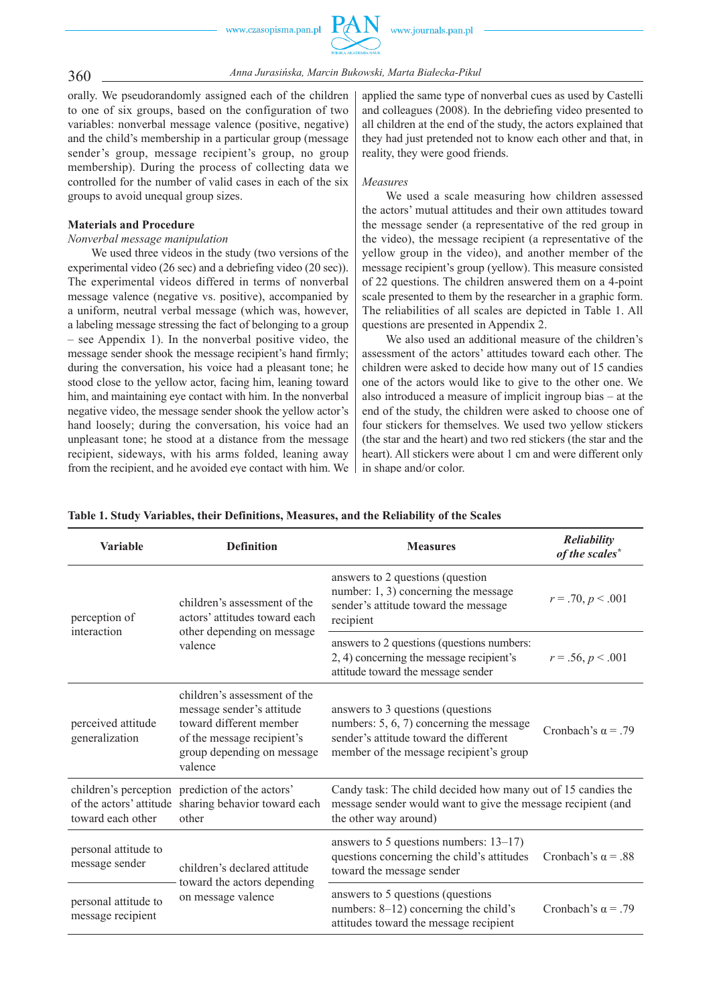

360 *Anna Jurasińska, Marcin Bukowski, Marta Białecka-Pikul*

orally. We pseudorandomly assigned each of the children to one of six groups, based on the configuration of two variables: nonverbal message valence (positive, negative) and the child's membership in a particular group (message sender's group, message recipient's group, no group membership). During the process of collecting data we controlled for the number of valid cases in each of the six groups to avoid unequal group sizes.

#### **Materials and Procedure**

#### *Nonverbal message manipulation*

We used three videos in the study (two versions of the experimental video (26 sec) and a debriefing video (20 sec)). The experimental videos differed in terms of nonverbal message valence (negative vs. positive), accompanied by a uniform, neutral verbal message (which was, however, a labeling message stressing the fact of belonging to a group – see Appendix 1). In the nonverbal positive video, the message sender shook the message recipient's hand firmly; during the conversation, his voice had a pleasant tone; he stood close to the yellow actor, facing him, leaning toward him, and maintaining eye contact with him. In the nonverbal negative video, the message sender shook the yellow actor's hand loosely; during the conversation, his voice had an unpleasant tone; he stood at a distance from the message recipient, sideways, with his arms folded, leaning away from the recipient, and he avoided eye contact with him. We applied the same type of nonverbal cues as used by Castelli and colleagues (2008). In the debriefing video presented to all children at the end of the study, the actors explained that they had just pretended not to know each other and that, in reality, they were good friends.

#### *Measures*

We used a scale measuring how children assessed the actors' mutual attitudes and their own attitudes toward the message sender (a representative of the red group in the video), the message recipient (a representative of the yellow group in the video), and another member of the message recipient's group (yellow). This measure consisted of 22 questions. The children answered them on a 4-point scale presented to them by the researcher in a graphic form. The reliabilities of all scales are depicted in Table 1. All questions are presented in Appendix 2.

We also used an additional measure of the children's assessment of the actors' attitudes toward each other. The children were asked to decide how many out of 15 candies one of the actors would like to give to the other one. We also introduced a measure of implicit ingroup bias – at the end of the study, the children were asked to choose one of four stickers for themselves. We used two yellow stickers (the star and the heart) and two red stickers (the star and the heart). All stickers were about 1 cm and were different only in shape and/or color.

| <b>Variable</b>                           | <b>Definition</b>                                                                                                                                           | <b>Measures</b>                                                                                                                                                      | Reliability<br>of the scales* |
|-------------------------------------------|-------------------------------------------------------------------------------------------------------------------------------------------------------------|----------------------------------------------------------------------------------------------------------------------------------------------------------------------|-------------------------------|
| perception of<br>interaction              | children's assessment of the<br>actors' attitudes toward each<br>other depending on message<br>valence                                                      | answers to 2 questions (question<br>number: 1, 3) concerning the message<br>sender's attitude toward the message<br>recipient                                        | $r = .70, p < .001$           |
|                                           |                                                                                                                                                             | answers to 2 questions (questions numbers:<br>2, 4) concerning the message recipient's<br>attitude toward the message sender                                         | $r = .56, p < .001$           |
| perceived attitude<br>generalization      | children's assessment of the<br>message sender's attitude<br>toward different member<br>of the message recipient's<br>group depending on message<br>valence | answers to 3 questions (questions)<br>numbers: $5, 6, 7$ concerning the message<br>sender's attitude toward the different<br>member of the message recipient's group | Cronbach's $\alpha$ = .79     |
| toward each other                         | children's perception prediction of the actors'<br>of the actors' attitude sharing behavior toward each<br>other                                            | Candy task: The child decided how many out of 15 candies the<br>message sender would want to give the message recipient (and<br>the other way around)                |                               |
| personal attitude to<br>message sender    | children's declared attitude<br>toward the actors depending<br>on message valence                                                                           | answers to 5 questions numbers: $13-17$ )<br>questions concerning the child's attitudes<br>toward the message sender                                                 | Cronbach's $\alpha$ = .88     |
| personal attitude to<br>message recipient |                                                                                                                                                             | answers to 5 questions (questions<br>numbers: 8-12) concerning the child's<br>attitudes toward the message recipient                                                 | Cronbach's $\alpha$ = .79     |

#### **Table 1. Study Variables, their Definitions, Measures, and the Reliability of the Scales**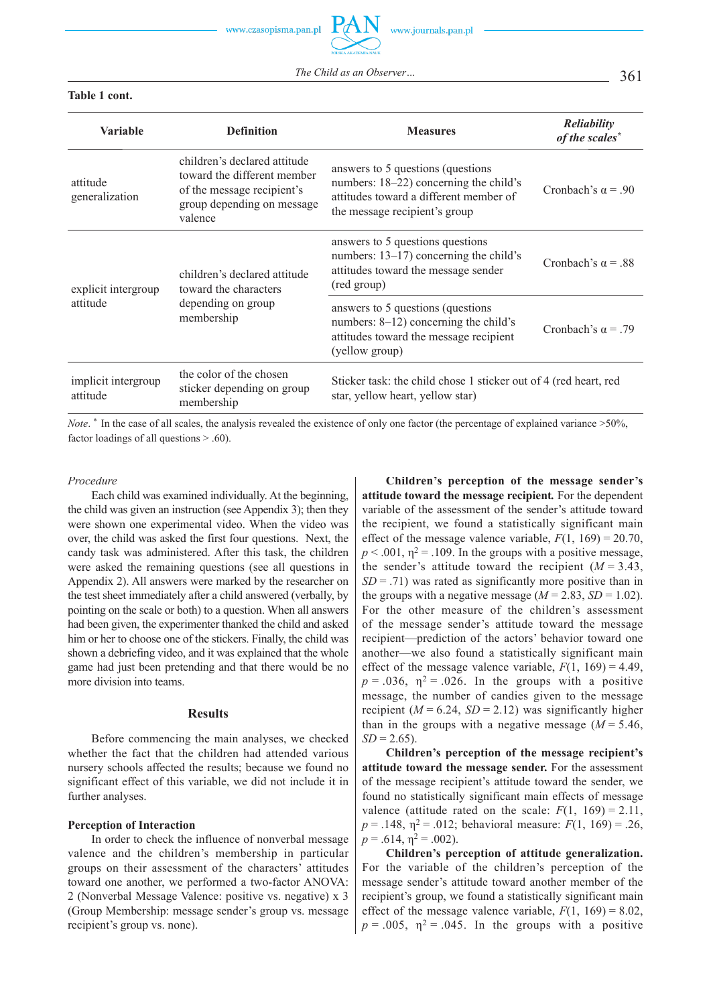The Child as an Observer... 25 361

#### **Table 1 cont.**

| <b>Variable</b>                 | <b>Definition</b>                                                                                                                  | <b>Measures</b>                                                                                                                                         | Reliability<br>of the scales* |
|---------------------------------|------------------------------------------------------------------------------------------------------------------------------------|---------------------------------------------------------------------------------------------------------------------------------------------------------|-------------------------------|
| attitude<br>generalization      | children's declared attitude<br>toward the different member<br>of the message recipient's<br>group depending on message<br>valence | answers to 5 questions (questions)<br>numbers: 18–22) concerning the child's<br>attitudes toward a different member of<br>the message recipient's group | Cronbach's $\alpha$ = .90     |
| explicit intergroup<br>attitude | children's declared attitude<br>toward the characters<br>depending on group<br>membership                                          | answers to 5 questions questions<br>numbers: $13-17$ ) concerning the child's<br>attitudes toward the message sender<br>(red group)                     | Cronbach's $\alpha$ = .88     |
|                                 |                                                                                                                                    | answers to 5 questions (questions)<br>numbers: $8-12$ ) concerning the child's<br>attitudes toward the message recipient<br>(yellow group)              | Cronbach's $\alpha$ = .79     |
| implicit intergroup<br>attitude | the color of the chosen<br>sticker depending on group<br>membership                                                                | Sticker task: the child chose 1 sticker out of 4 (red heart, red<br>star, yellow heart, yellow star)                                                    |                               |

*Note*. <sup>\*</sup> In the case of all scales, the analysis revealed the existence of only one factor (the percentage of explained variance >50%, factor loadings of all questions > .60).

#### *Procedure*

Each child was examined individually. At the beginning, the child was given an instruction (see Appendix 3); then they were shown one experimental video. When the video was over, the child was asked the first four questions. Next, the candy task was administered. After this task, the children were asked the remaining questions (see all questions in Appendix 2). All answers were marked by the researcher on the test sheet immediately after a child answered (verbally, by pointing on the scale or both) to a question. When all answers had been given, the experimenter thanked the child and asked him or her to choose one of the stickers. Finally, the child was shown a debriefing video, and it was explained that the whole game had just been pretending and that there would be no more division into teams.

#### **Results**

Before commencing the main analyses, we checked whether the fact that the children had attended various nursery schools affected the results; because we found no significant effect of this variable, we did not include it in further analyses.

#### **Perception of Interaction**

In order to check the influence of nonverbal message valence and the children's membership in particular groups on their assessment of the characters' attitudes toward one another, we performed a two-factor ANOVA: 2 (Nonverbal Message Valence: positive vs. negative) x 3 (Group Membership: message sender's group vs. message recipient's group vs. none).

**Children's perception of the message sender's attitude toward the message recipient***.* For the dependent variable of the assessment of the sender's attitude toward the recipient, we found a statistically significant main effect of the message valence variable,  $F(1, 169) = 20.70$ ,  $p < .001$ ,  $\eta^2 = .109$ . In the groups with a positive message, the sender's attitude toward the recipient  $(M = 3.43)$ ,  $SD = .71$ ) was rated as significantly more positive than in the groups with a negative message  $(M = 2.83, SD = 1.02)$ . For the other measure of the children's assessment of the message sender's attitude toward the message recipient—prediction of the actors' behavior toward one another—we also found a statistically significant main effect of the message valence variable,  $F(1, 169) = 4.49$ ,  $p = .036$ ,  $\eta^2 = .026$ . In the groups with a positive message, the number of candies given to the message recipient  $(M = 6.24, SD = 2.12)$  was significantly higher than in the groups with a negative message  $(M = 5.46)$ ,  $SD = 2.65$ ).

**Children's perception of the message recipient's attitude toward the message sender.** For the assessment of the message recipient's attitude toward the sender, we found no statistically significant main effects of message valence (attitude rated on the scale:  $F(1, 169) = 2.11$ ,  $p = .148$ ,  $\eta^2 = .012$ ; behavioral measure:  $F(1, 169) = .26$ ,  $p = .614$ ,  $\eta^2 = .002$ ).

**Children's perception of attitude generalization.** For the variable of the children's perception of the message sender's attitude toward another member of the recipient's group, we found a statistically significant main effect of the message valence variable,  $F(1, 169) = 8.02$ ,  $p = .005$ ,  $\eta^2 = .045$ . In the groups with a positive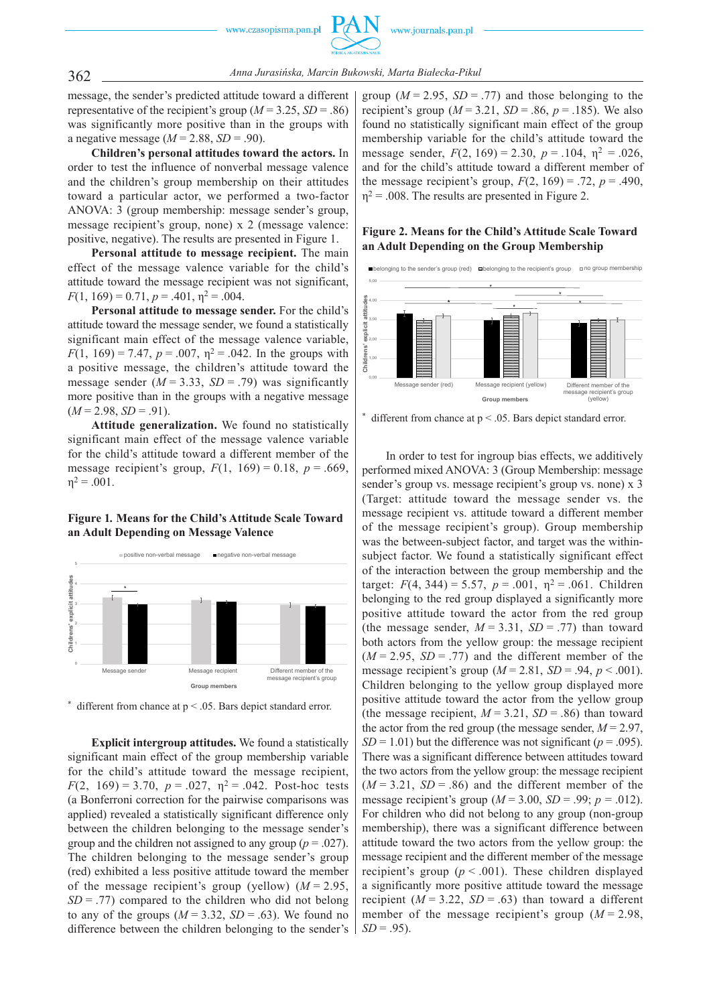

362 *Anna Jurasińska, Marcin Bukowski, Marta Białecka-Pikul*

message, the sender's predicted attitude toward a different representative of the recipient's group ( $M = 3.25$ ,  $SD = .86$ ) was significantly more positive than in the groups with a negative message  $(M = 2.88, SD = .90)$ .

**Children's personal attitudes toward the actors.** In order to test the influence of nonverbal message valence and the children's group membership on their attitudes toward a particular actor, we performed a two-factor ANOVA: 3 (group membership: message sender's group, message recipient's group, none) x 2 (message valence: positive, negative). The results are presented in Figure 1.

**Personal attitude to message recipient.** The main effect of the message valence variable for the child's attitude toward the message recipient was not significant,  $F(1, 169) = 0.71, p = .401, \eta^2 = .004.$ 

**Personal attitude to message sender.** For the child's attitude toward the message sender, we found a statistically significant main effect of the message valence variable, *F*(1, 169) = 7.47,  $p = .007$ ,  $\eta^2 = .042$ . In the groups with a positive message, the children's attitude toward the message sender  $(M = 3.33, SD = .79)$  was significantly more positive than in the groups with a negative message  $(M = 2.98, SD = .91)$ .

**Attitude generalization.** We found no statistically significant main effect of the message valence variable for the child's attitude toward a different member of the message recipient's group,  $F(1, 169) = 0.18$ ,  $p = .669$ ,  $\eta^2 = .001$ .

## **Figure 1***.* **Means for the Child's Attitude Scale Toward an Adult Depending on Message Valence**



 $*$  different from chance at  $p < .05$ . Bars depict standard error.

**Explicit intergroup attitudes.** We found a statistically significant main effect of the group membership variable for the child's attitude toward the message recipient, *F*(2, 169) = 3.70,  $p = .027$ ,  $p^2 = .042$ . Post-hoc tests (a Bonferroni correction for the pairwise comparisons was applied) revealed a statistically significant difference only between the children belonging to the message sender's group and the children not assigned to any group ( $p = .027$ ). The children belonging to the message sender's group (red) exhibited a less positive attitude toward the member of the message recipient's group (yellow)  $(M = 2.95$ ,  $SD = .77$ ) compared to the children who did not belong to any of the groups  $(M = 3.32, SD = .63)$ . We found no difference between the children belonging to the sender's

group  $(M = 2.95, SD = .77)$  and those belonging to the recipient's group ( $M = 3.21$ ,  $SD = .86$ ,  $p = .185$ ). We also found no statistically significant main effect of the group membership variable for the child's attitude toward the message sender,  $F(2, 169) = 2.30$ ,  $p = .104$ ,  $p^2 = .026$ , and for the child's attitude toward a different member of the message recipient's group,  $F(2, 169) = .72$ ,  $p = .490$ ,  $\eta^2$  = .008. The results are presented in Figure 2.

### **Figure 2. Means for the Child's Attitude Scale Toward an Adult Depending on the Group Membership**



different from chance at  $p < .05$ . Bars depict standard error.

In order to test for ingroup bias effects, we additively performed mixed ANOVA: 3 (Group Membership: message sender's group vs. message recipient's group vs. none) x 3 (Target: attitude toward the message sender vs. the message recipient vs. attitude toward a different member of the message recipient's group). Group membership was the between-subject factor, and target was the withinsubject factor. We found a statistically significant effect of the interaction between the group membership and the target:  $F(4, 344) = 5.57$ ,  $p = .001$ ,  $p^2 = .061$ . Children belonging to the red group displayed a significantly more positive attitude toward the actor from the red group (the message sender,  $M = 3.31$ ,  $SD = .77$ ) than toward both actors from the yellow group: the message recipient  $(M = 2.95, SD = .77)$  and the different member of the message recipient's group ( $M = 2.81$ ,  $SD = .94$ ,  $p < .001$ ). Children belonging to the yellow group displayed more positive attitude toward the actor from the yellow group (the message recipient,  $M = 3.21$ ,  $SD = .86$ ) than toward the actor from the red group (the message sender,  $M = 2.97$ ,  $SD = 1.01$ ) but the difference was not significant ( $p = .095$ ). There was a significant difference between attitudes toward the two actors from the yellow group: the message recipient  $(M = 3.21, SD = .86)$  and the different member of the message recipient's group ( $M = 3.00$ ,  $SD = .99$ ;  $p = .012$ ). For children who did not belong to any group (non-group membership), there was a significant difference between attitude toward the two actors from the yellow group: the message recipient and the different member of the message recipient's group  $(p < .001)$ . These children displayed a significantly more positive attitude toward the message recipient  $(M = 3.22, SD = .63)$  than toward a different member of the message recipient's group  $(M = 2.98$ ,  $SD = .95$ ).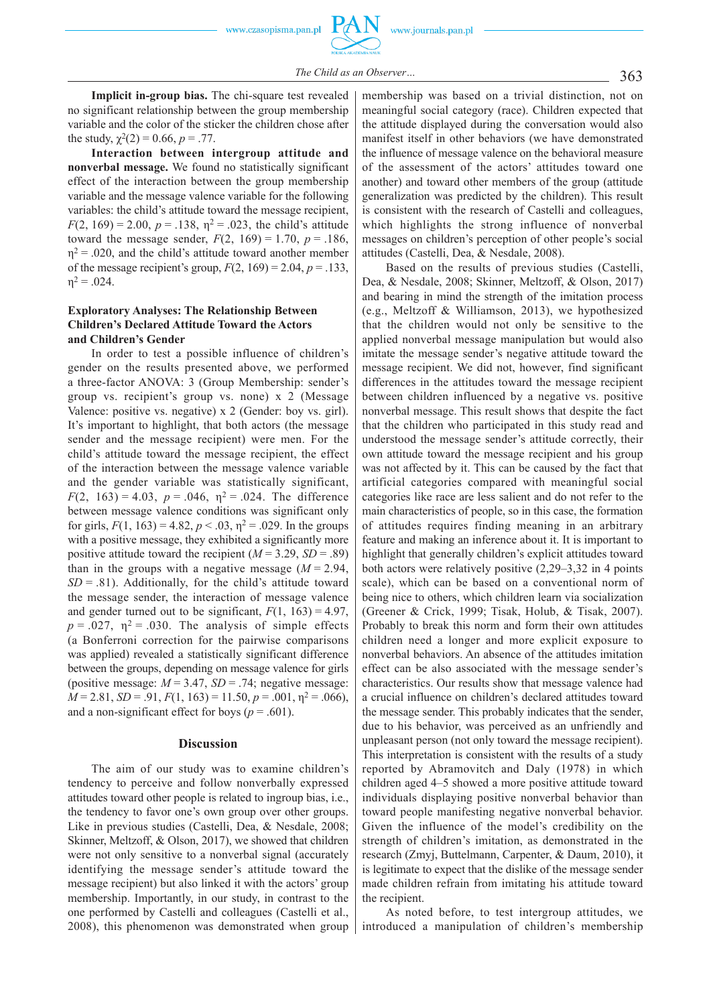**Implicit in-group bias.** The chi-square test revealed no significant relationship between the group membership variable and the color of the sticker the children chose after the study,  $\chi^2(2) = 0.66$ ,  $p = .77$ .

**Interaction between intergroup attitude and nonverbal message.** We found no statistically significant effect of the interaction between the group membership variable and the message valence variable for the following variables: the child's attitude toward the message recipient,  $F(2, 169) = 2.00$ ,  $p = .138$ ,  $\eta^2 = .023$ , the child's attitude toward the message sender,  $F(2, 169) = 1.70$ ,  $p = .186$ ,  $\eta^2$  = .020, and the child's attitude toward another member of the message recipient's group,  $F(2, 169) = 2.04$ ,  $p = .133$ ,  $n^2 = 0.024$ .

#### **Exploratory Analyses: The Relationship Between Children's Declared Attitude Toward the Actors and Children's Gender**

In order to test a possible influence of children's gender on the results presented above, we performed a three-factor ANOVA: 3 (Group Membership: sender's group vs. recipient's group vs. none) x 2 (Message Valence: positive vs. negative) x 2 (Gender: boy vs. girl). It's important to highlight, that both actors (the message sender and the message recipient) were men. For the child's attitude toward the message recipient, the effect of the interaction between the message valence variable and the gender variable was statistically significant, *F*(2, 163) = 4.03,  $p = .046$ ,  $\eta^2 = .024$ . The difference between message valence conditions was significant only for girls,  $F(1, 163) = 4.82$ ,  $p < .03$ ,  $\eta^2 = .029$ . In the groups with a positive message, they exhibited a significantly more positive attitude toward the recipient  $(M = 3.29, SD = .89)$ than in the groups with a negative message  $(M = 2.94$ ,  $SD = .81$ ). Additionally, for the child's attitude toward the message sender, the interaction of message valence and gender turned out to be significant,  $F(1, 163) = 4.97$ ,  $p = .027$ ,  $\eta^2 = .030$ . The analysis of simple effects (a Bonferroni correction for the pairwise comparisons was applied) revealed a statistically significant difference between the groups, depending on message valence for girls (positive message:  $M = 3.47$ ,  $SD = .74$ ; negative message:  $M = 2.81$ ,  $SD = .91$ ,  $F(1, 163) = 11.50$ ,  $p = .001$ ,  $\eta^2 = .066$ ), and a non-significant effect for boys ( $p = .601$ ).

#### **Discussion**

The aim of our study was to examine children's tendency to perceive and follow nonverbally expressed attitudes toward other people is related to ingroup bias, i.e., the tendency to favor one's own group over other groups. Like in previous studies (Castelli, Dea, & Nesdale, 2008; Skinner, Meltzoff, & Olson, 2017), we showed that children were not only sensitive to a nonverbal signal (accurately identifying the message sender's attitude toward the message recipient) but also linked it with the actors' group membership. Importantly, in our study, in contrast to the one performed by Castelli and colleagues (Castelli et al., 2008), this phenomenon was demonstrated when group

membership was based on a trivial distinction, not on meaningful social category (race). Children expected that the attitude displayed during the conversation would also manifest itself in other behaviors (we have demonstrated the influence of message valence on the behavioral measure of the assessment of the actors' attitudes toward one another) and toward other members of the group (attitude generalization was predicted by the children). This result is consistent with the research of Castelli and colleagues, which highlights the strong influence of nonverbal messages on children's perception of other people's social attitudes (Castelli, Dea, & Nesdale, 2008).

Based on the results of previous studies (Castelli, Dea, & Nesdale, 2008; Skinner, Meltzoff, & Olson, 2017) and bearing in mind the strength of the imitation process (e.g., Meltzoff & Williamson, 2013), we hypothesized that the children would not only be sensitive to the applied nonverbal message manipulation but would also imitate the message sender's negative attitude toward the message recipient. We did not, however, find significant differences in the attitudes toward the message recipient between children influenced by a negative vs. positive nonverbal message. This result shows that despite the fact that the children who participated in this study read and understood the message sender's attitude correctly, their own attitude toward the message recipient and his group was not affected by it. This can be caused by the fact that artificial categories compared with meaningful social categories like race are less salient and do not refer to the main characteristics of people, so in this case, the formation of attitudes requires finding meaning in an arbitrary feature and making an inference about it. It is important to highlight that generally children's explicit attitudes toward both actors were relatively positive (2,29–3,32 in 4 points scale), which can be based on a conventional norm of being nice to others, which children learn via socialization (Greener & Crick, 1999; Tisak, Holub, & Tisak, 2007). Probably to break this norm and form their own attitudes children need a longer and more explicit exposure to nonverbal behaviors. An absence of the attitudes imitation effect can be also associated with the message sender's characteristics. Our results show that message valence had a crucial influence on children's declared attitudes toward the message sender. This probably indicates that the sender, due to his behavior, was perceived as an unfriendly and unpleasant person (not only toward the message recipient). This interpretation is consistent with the results of a study reported by Abramovitch and Daly (1978) in which children aged 4–5 showed a more positive attitude toward individuals displaying positive nonverbal behavior than toward people manifesting negative nonverbal behavior. Given the influence of the model's credibility on the strength of children's imitation, as demonstrated in the research (Zmyj, Buttelmann, Carpenter, & Daum, 2010), it is legitimate to expect that the dislike of the message sender made children refrain from imitating his attitude toward the recipient.

As noted before, to test intergroup attitudes, we introduced a manipulation of children's membership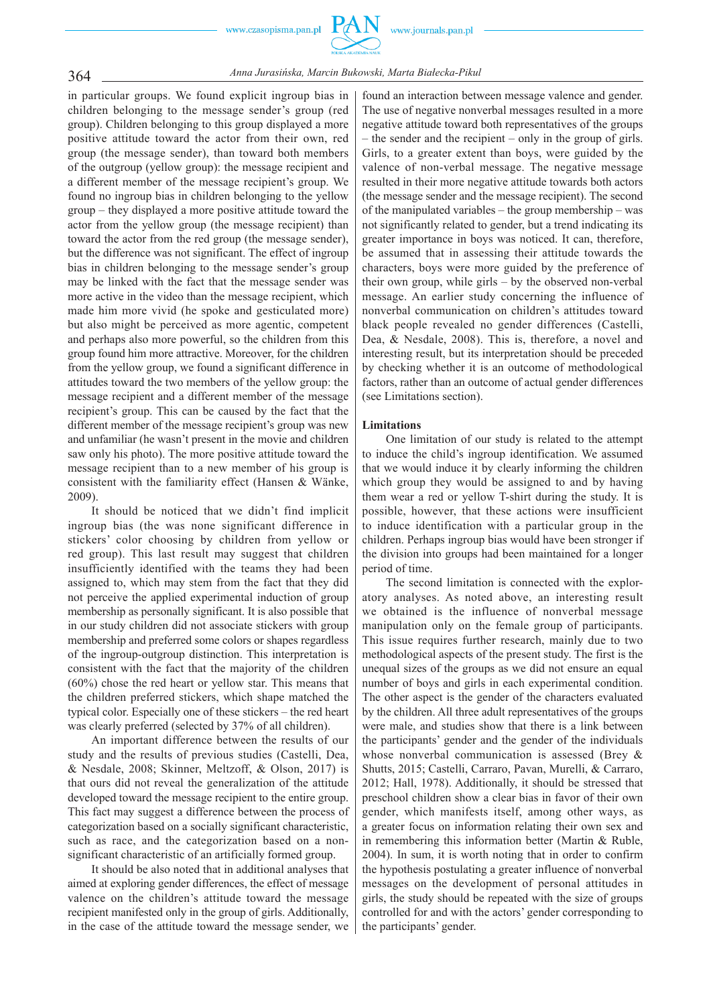

364 *Anna Jurasińska, Marcin Bukowski, Marta Białecka-Pikul*

in particular groups. We found explicit ingroup bias in children belonging to the message sender's group (red group). Children belonging to this group displayed a more positive attitude toward the actor from their own, red group (the message sender), than toward both members of the outgroup (yellow group): the message recipient and a different member of the message recipient's group. We found no ingroup bias in children belonging to the yellow group – they displayed a more positive attitude toward the actor from the yellow group (the message recipient) than toward the actor from the red group (the message sender), but the difference was not significant. The effect of ingroup bias in children belonging to the message sender's group may be linked with the fact that the message sender was more active in the video than the message recipient, which made him more vivid (he spoke and gesticulated more) but also might be perceived as more agentic, competent and perhaps also more powerful, so the children from this group found him more attractive. Moreover, for the children from the yellow group, we found a significant difference in attitudes toward the two members of the yellow group: the message recipient and a different member of the message recipient's group. This can be caused by the fact that the different member of the message recipient's group was new and unfamiliar (he wasn't present in the movie and children saw only his photo). The more positive attitude toward the message recipient than to a new member of his group is consistent with the familiarity effect (Hansen & Wänke, 2009).

It should be noticed that we didn't find implicit ingroup bias (the was none significant difference in stickers' color choosing by children from yellow or red group). This last result may suggest that children insufficiently identified with the teams they had been assigned to, which may stem from the fact that they did not perceive the applied experimental induction of group membership as personally significant. It is also possible that in our study children did not associate stickers with group membership and preferred some colors or shapes regardless of the ingroup-outgroup distinction. This interpretation is consistent with the fact that the majority of the children (60%) chose the red heart or yellow star. This means that the children preferred stickers, which shape matched the typical color. Especially one of these stickers – the red heart was clearly preferred (selected by 37% of all children).

An important difference between the results of our study and the results of previous studies (Castelli, Dea, & Nesdale, 2008; Skinner, Meltzoff, & Olson, 2017) is that ours did not reveal the generalization of the attitude developed toward the message recipient to the entire group. This fact may suggest a difference between the process of categorization based on a socially significant characteristic, such as race, and the categorization based on a nonsignificant characteristic of an artificially formed group.

It should be also noted that in additional analyses that aimed at exploring gender differences, the effect of message valence on the children's attitude toward the message recipient manifested only in the group of girls. Additionally, in the case of the attitude toward the message sender, we

found an interaction between message valence and gender. The use of negative nonverbal messages resulted in a more negative attitude toward both representatives of the groups – the sender and the recipient – only in the group of girls. Girls, to a greater extent than boys, were guided by the valence of non-verbal message. The negative message resulted in their more negative attitude towards both actors (the message sender and the message recipient). The second of the manipulated variables – the group membership – was not significantly related to gender, but a trend indicating its greater importance in boys was noticed. It can, therefore, be assumed that in assessing their attitude towards the characters, boys were more guided by the preference of their own group, while girls – by the observed non-verbal message. An earlier study concerning the influence of nonverbal communication on children's attitudes toward black people revealed no gender differences (Castelli, Dea, & Nesdale, 2008). This is, therefore, a novel and interesting result, but its interpretation should be preceded by checking whether it is an outcome of methodological factors, rather than an outcome of actual gender differences (see Limitations section).

#### **Limitations**

One limitation of our study is related to the attempt to induce the child's ingroup identification. We assumed that we would induce it by clearly informing the children which group they would be assigned to and by having them wear a red or yellow T-shirt during the study. It is possible, however, that these actions were insufficient to induce identification with a particular group in the children. Perhaps ingroup bias would have been stronger if the division into groups had been maintained for a longer period of time.

The second limitation is connected with the exploratory analyses. As noted above, an interesting result we obtained is the influence of nonverbal message manipulation only on the female group of participants. This issue requires further research, mainly due to two methodological aspects of the present study. The first is the unequal sizes of the groups as we did not ensure an equal number of boys and girls in each experimental condition. The other aspect is the gender of the characters evaluated by the children. All three adult representatives of the groups were male, and studies show that there is a link between the participants' gender and the gender of the individuals whose nonverbal communication is assessed (Brey & Shutts, 2015; Castelli, Carraro, Pavan, Murelli, & Carraro, 2012; Hall, 1978). Additionally, it should be stressed that preschool children show a clear bias in favor of their own gender, which manifests itself, among other ways, as a greater focus on information relating their own sex and in remembering this information better (Martin & Ruble, 2004). In sum, it is worth noting that in order to confirm the hypothesis postulating a greater influence of nonverbal messages on the development of personal attitudes in girls, the study should be repeated with the size of groups controlled for and with the actors' gender corresponding to the participants' gender.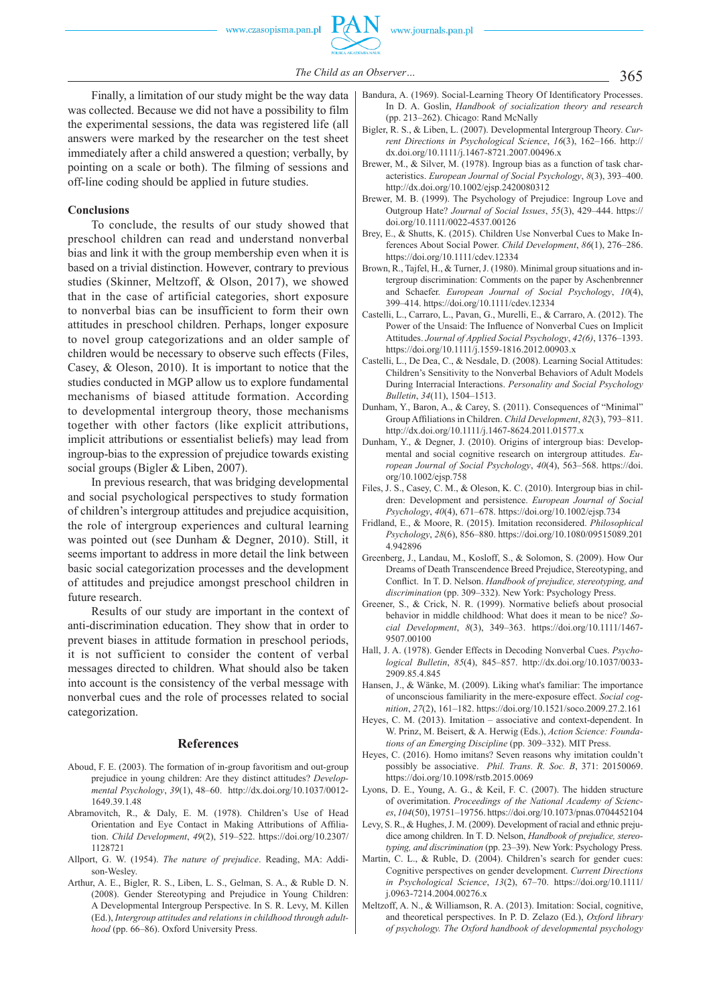

365 *The Child as an Observer…*

Finally, a limitation of our study might be the way data was collected. Because we did not have a possibility to film the experimental sessions, the data was registered life (all answers were marked by the researcher on the test sheet immediately after a child answered a question; verbally, by pointing on a scale or both). The filming of sessions and off-line coding should be applied in future studies.

#### **Conclusions**

To conclude, the results of our study showed that preschool children can read and understand nonverbal bias and link it with the group membership even when it is based on a trivial distinction. However, contrary to previous studies (Skinner, Meltzoff, & Olson, 2017), we showed that in the case of artificial categories, short exposure to nonverbal bias can be insufficient to form their own attitudes in preschool children. Perhaps, longer exposure to novel group categorizations and an older sample of children would be necessary to observe such effects (Files, Casey, & Oleson, 2010). It is important to notice that the studies conducted in MGP allow us to explore fundamental mechanisms of biased attitude formation. According to developmental intergroup theory, those mechanisms together with other factors (like explicit attributions, implicit attributions or essentialist beliefs) may lead from ingroup-bias to the expression of prejudice towards existing social groups (Bigler & Liben, 2007).

In previous research, that was bridging developmental and social psychological perspectives to study formation of children's intergroup attitudes and prejudice acquisition, the role of intergroup experiences and cultural learning was pointed out (see Dunham & Degner, 2010). Still, it seems important to address in more detail the link between basic social categorization processes and the development of attitudes and prejudice amongst preschool children in future research.

Results of our study are important in the context of anti-discrimination education. They show that in order to prevent biases in attitude formation in preschool periods, it is not sufficient to consider the content of verbal messages directed to children. What should also be taken into account is the consistency of the verbal message with nonverbal cues and the role of processes related to social categorization.

#### **References**

- Aboud, F. E. (2003). The formation of in-group favoritism and out-group prejudice in young children: Are they distinct attitudes? *Developmental Psychology*, *39*(1), 48–60. http://dx.doi.org/10.1037/0012- 1649.39.1.48
- Abramovitch, R., & Daly, E. M. (1978). Children's Use of Head Orientation and Eye Contact in Making Attributions of Affiliation. *Child Development*, *49*(2), 519–522. https://doi.org/10.2307/ 1128721
- Allport, G. W. (1954). *The nature of prejudice*. Reading, MA: Addison-Wesley.
- Arthur, A. E., Bigler, R. S., Liben, L. S., Gelman, S. A., & Ruble D. N. (2008). Gender Stereotyping and Prejudice in Young Children: A Developmental Intergroup Perspective. In S. R. Levy, M. Killen (Ed.), *Intergroup attitudes and relations in childhood through adulthood* (pp. 66–86). Oxford University Press.
- Bandura, A. (1969). Social-Learning Theory Of Identificatory Processes. In D. A. Goslin, *Handbook of socialization theory and research*  (pp. 213–262). Chicago: Rand McNally
- Bigler, R. S., & Liben, L. (2007). Developmental Intergroup Theory. *Current Directions in Psychological Science*, *16*(3), 162–166. http:// dx.doi.org/10.1111/j.1467-8721.2007.00496.x
- Brewer, M., & Silver, M. (1978). Ingroup bias as a function of task characteristics. *European Journal of Social Psychology*, *8*(3), 393–400. http://dx.doi.org/10.1002/ejsp.2420080312
- Brewer, M. B. (1999). The Psychology of Prejudice: Ingroup Love and Outgroup Hate? *Journal of Social Issues*, *55*(3), 429–444. https:// doi.org/10.1111/0022-4537.00126
- Brey, E., & Shutts, K. (2015). Children Use Nonverbal Cues to Make Inferences About Social Power. *Child Development*, *86*(1), 276–286. https://doi.org/10.1111/cdev.12334
- Brown, R., Tajfel, H., & Turner, J. (1980). Minimal group situations and intergroup discrimination: Comments on the paper by Aschenbrenner and Schaefer. *European Journal of Social Psychology*, *10*(4), 399–414. https://doi.org/10.1111/cdev.12334
- Castelli, L., Carraro, L., Pavan, G., Murelli, E., & Carraro, A. (2012). The Power of the Unsaid: The Influence of Nonverbal Cues on Implicit Attitudes. *Journal of Applied Social Psychology*, *42(6)*, 1376–1393. https://doi.org/10.1111/j.1559-1816.2012.00903.x
- Castelli, L., De Dea, C., & Nesdale, D. (2008). Learning Social Attitudes: Children's Sensitivity to the Nonverbal Behaviors of Adult Models During Interracial Interactions. *Personality and Social Psychology Bulletin*, *34*(11), 1504–1513.
- Dunham, Y., Baron, A., & Carey, S. (2011). Consequences of "Minimal" Group Affiliations in Children. *Child Development*, 82(3), 793-811. http://dx.doi.org/10.1111/j.1467-8624.2011.01577.x
- Dunham, Y., & Degner, J. (2010). Origins of intergroup bias: Developmental and social cognitive research on intergroup attitudes. *European Journal of Social Psychology*, *40*(4), 563–568. https://doi. org/10.1002/ejsp.758
- Files, J. S., Casey, C. M., & Oleson, K. C. (2010). Intergroup bias in children: Development and persistence. *European Journal of Social Psychology*, *40*(4), 671–678. https://doi.org/10.1002/ejsp.734
- Fridland, E., & Moore, R. (2015). Imitation reconsidered. *Philosophical Psychology*, *28*(6), 856–880. https://doi.org/10.1080/09515089.201 4.942896
- Greenberg, J., Landau, M., Kosloff, S., & Solomon, S. (2009). How Our Dreams of Death Transcendence Breed Prejudice, Stereotyping, and Conflict. In T. D. Nelson. *Handbook of prejudice, stereotyping, and discrimination* (pp. 309–332). New York: Psychology Press.
- Greener, S., & Crick, N. R. (1999). Normative beliefs about prosocial behavior in middle childhood: What does it mean to be nice? *Social Development*, *8*(3), 349–363. https://doi.org/10.1111/1467- 9507.00100
- Hall, J. A. (1978). Gender Effects in Decoding Nonverbal Cues. *Psychological Bulletin*, *85*(4), 845–857. http://dx.doi.org/10.1037/0033- 2909.85.4.845
- Hansen, J., & Wänke, M. (2009). Liking what's familiar: The importance of unconscious familiarity in the mere-exposure effect. *Social cognition*, *27*(2), 161–182. https://doi.org/10.1521/soco.2009.27.2.161
- Heyes, C. M. (2013). Imitation associative and context-dependent. In W. Prinz, M. Beisert, & A. Herwig (Eds.), *Action Science: Foundations of an Emerging Discipline* (pp. 309–332). MIT Press.
- Heyes, C. (2016). Homo imitans? Seven reasons why imitation couldn't possibly be associative. *Phil. Trans. R. Soc. B*, 371: 20150069. https://doi.org/10.1098/rstb.2015.0069
- Lyons, D. E., Young, A. G., & Keil, F. C. (2007). The hidden structure of overimitation. *Proceedings of the National Academy of Sciences*, *104*(50), 19751–19756. https://doi.org/10.1073/pnas.0704452104
- Levy, S. R., & Hughes, J. M. (2009). Development of racial and ethnic prejudice among children. In T. D. Nelson, *Handbook of prejudice, stereotyping, and discrimination* (pp. 23–39). New York: Psychology Press.
- Martin, C. L., & Ruble, D. (2004). Children's search for gender cues: Cognitive perspectives on gender development. *Current Directions in Psychological Science*, *13*(2), 67–70. https://doi.org/10.1111/ j.0963-7214.2004.00276.x
- Meltzoff, A. N., & Williamson, R. A. (2013). Imitation: Social, cognitive, and theoretical perspectives. In P. D. Zelazo (Ed.), *Oxford library of psychology. The Oxford handbook of developmental psychology*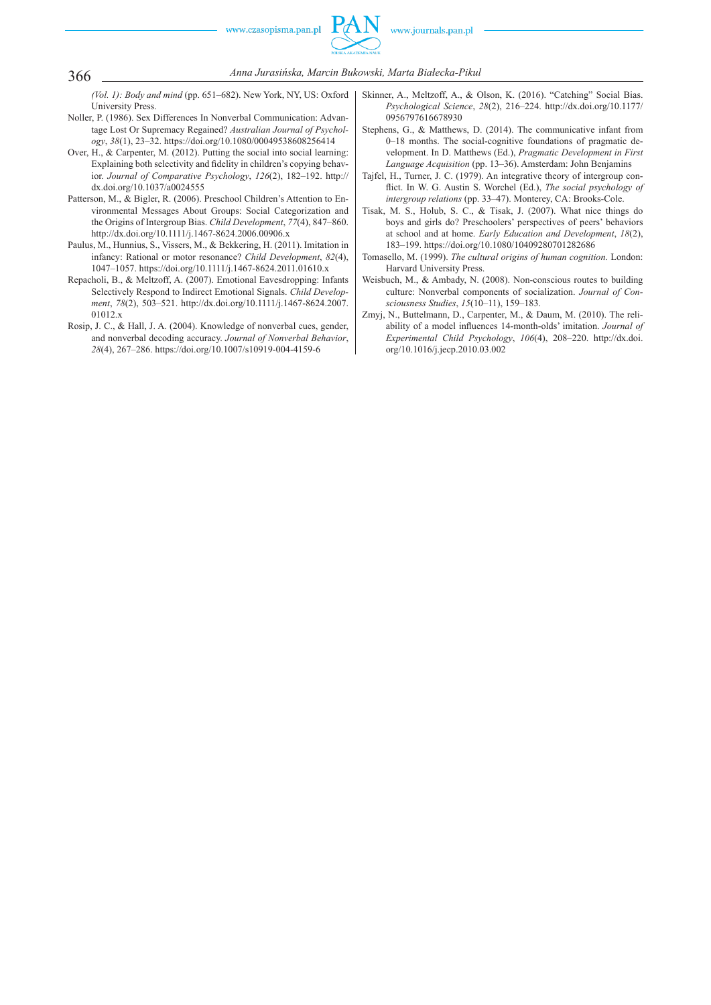

366 *Anna Jurasińska, Marcin Bukowski, Marta Białecka-Pikul*

*(Vol. 1): Body and mind* (pp. 651–682). New York, NY, US: Oxford University Press.

- Noller, P. (1986). Sex Differences In Nonverbal Communication: Advantage Lost Or Supremacy Regained? *Australian Journal of Psychology*, *38*(1), 23–32. https://doi.org/10.1080/00049538608256414
- Over, H., & Carpenter, M. (2012). Putting the social into social learning: Explaining both selectivity and fidelity in children's copying behavior. *Journal of Comparative Psychology*, *126*(2), 182–192. http:// dx.doi.org/10.1037/a0024555
- Patterson, M., & Bigler, R. (2006). Preschool Children's Attention to Environmental Messages About Groups: Social Categorization and the Origins of Intergroup Bias. *Child Development*, *77*(4), 847–860. http://dx.doi.org/10.1111/j.1467-8624.2006.00906.x
- Paulus, M., Hunnius, S., Vissers, M., & Bekkering, H. (2011). Imitation in infancy: Rational or motor resonance? *Child Development*, *82*(4), 1047–1057. https://doi.org/10.1111/j.1467-8624.2011.01610.x
- Repacholi, B., & Meltzoff, A. (2007). Emotional Eavesdropping: Infants Selectively Respond to Indirect Emotional Signals. *Child Development*, *78*(2), 503–521. http://dx.doi.org/10.1111/j.1467-8624.2007. 01012.x
- Rosip, J. C., & Hall, J. A. (2004). Knowledge of nonverbal cues, gender, and nonverbal decoding accuracy. *Journal of Nonverbal Behavior*, *28*(4), 267–286. https://doi.org/10.1007/s10919-004-4159-6
- Skinner, A., Meltzoff, A., & Olson, K. (2016). "Catching" Social Bias. *Psychological Science*, *28*(2), 216–224. http://dx.doi.org/10.1177/ 0956797616678930
- Stephens, G., & Matthews, D. (2014). The communicative infant from 0–18 months. The social-cognitive foundations of pragmatic development. In D. Matthews (Ed.), *Pragmatic Development in First Language Acquisition* (pp. 13–36). Amsterdam: John Benjamins
- Tajfel, H., Turner, J. C. (1979). An integrative theory of intergroup conflict. In W. G. Austin S. Worchel (Ed.), *The social psychology of intergroup relations* (pp. 33–47). Monterey, CA: Brooks-Cole.
- Tisak, M. S., Holub, S. C., & Tisak, J. (2007). What nice things do boys and girls do? Preschoolers' perspectives of peers' behaviors at school and at home. *Early Education and Development*, *18*(2), 183–199. https://doi.org/10.1080/10409280701282686
- Tomasello, M. (1999). *The cultural origins of human cognition*. London: Harvard University Press.
- Weisbuch, M., & Ambady, N. (2008). Non-conscious routes to building culture: Nonverbal components of socialization. *Journal of Consciousness Studies*, *15*(10–11), 159–183.
- Zmyj, N., Buttelmann, D., Carpenter, M., & Daum, M. (2010). The reliability of a model influences 14-month-olds' imitation. *Journal of Experimental Child Psychology*, *106*(4), 208–220. http://dx.doi. org/10.1016/j.jecp.2010.03.002